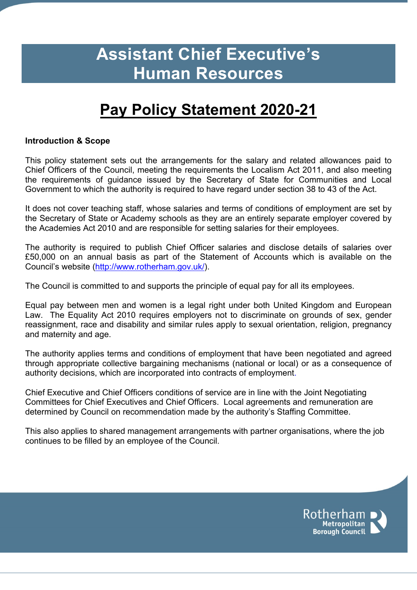# **Assistant Chief Executive's Human Resources**

# **Pay Policy Statement 2020-21**

#### **Introduction & Scope**

This policy statement sets out the arrangements for the salary and related allowances paid to Chief Officers of the Council, meeting the requirements the Localism Act 2011, and also meeting the requirements of guidance issued by the Secretary of State for Communities and Local Government to which the authority is required to have regard under section 38 to 43 of the Act.

It does not cover teaching staff, whose salaries and terms of conditions of employment are set by the Secretary of State or Academy schools as they are an entirely separate employer covered by the Academies Act 2010 and are responsible for setting salaries for their employees.

The authority is required to publish Chief Officer salaries and disclose details of salaries over £50,000 on an annual basis as part of the Statement of Accounts which is available on the Council's website [\(http://www.rotherham.gov.uk/\)](http://www.rotherham.gov.uk/).

The Council is committed to and supports the principle of equal pay for all its employees.

Equal pay between men and women is a legal right under both United Kingdom and European Law. The Equality Act 2010 requires employers not to discriminate on grounds of sex, gender reassignment, race and disability and similar rules apply to sexual orientation, religion, pregnancy and maternity and age.

The authority applies terms and conditions of employment that have been negotiated and agreed through appropriate collective bargaining mechanisms (national or local) or as a consequence of authority decisions, which are incorporated into contracts of employment.

Chief Executive and Chief Officers conditions of service are in line with the Joint Negotiating Committees for Chief Executives and Chief Officers. Local agreements and remuneration are determined by Council on recommendation made by the authority's Staffing Committee.

This also applies to shared management arrangements with partner organisations, where the job continues to be filled by an employee of the Council.

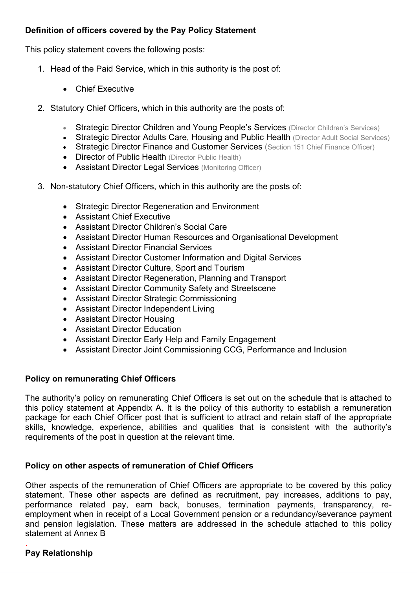### **Definition of officers covered by the Pay Policy Statement**

This policy statement covers the following posts:

- 1. Head of the Paid Service, which in this authority is the post of:
	- Chief Executive
- 2. Statutory Chief Officers, which in this authority are the posts of:
	- Strategic Director Children and Young People's Services (Director Children's Services)
	- Strategic Director Adults Care, Housing and Public Health (Director Adult Social Services)
	- Strategic Director Finance and Customer Services (Section 151 Chief Finance Officer)
	- Director of Public Health (Director Public Health)
	- Assistant Director Legal Services (Monitoring Officer)
- 3. Non-statutory Chief Officers, which in this authority are the posts of:
	- Strategic Director Regeneration and Environment
	- Assistant Chief Executive
	- Assistant Director Children's Social Care
	- Assistant Director Human Resources and Organisational Development
	- Assistant Director Financial Services
	- Assistant Director Customer Information and Digital Services
	- Assistant Director Culture, Sport and Tourism
	- Assistant Director Regeneration, Planning and Transport
	- Assistant Director Community Safety and Streetscene
	- Assistant Director Strategic Commissioning
	- Assistant Director Independent Living
	- Assistant Director Housing
	- Assistant Director Education
	- Assistant Director Early Help and Family Engagement
	- Assistant Director Joint Commissioning CCG, Performance and Inclusion

#### **Policy on remunerating Chief Officers**

The authority's policy on remunerating Chief Officers is set out on the schedule that is attached to this policy statement at Appendix A. It is the policy of this authority to establish a remuneration package for each Chief Officer post that is sufficient to attract and retain staff of the appropriate skills, knowledge, experience, abilities and qualities that is consistent with the authority's requirements of the post in question at the relevant time.

### **Policy on other aspects of remuneration of Chief Officers**

Other aspects of the remuneration of Chief Officers are appropriate to be covered by this policy statement. These other aspects are defined as recruitment, pay increases, additions to pay, performance related pay, earn back, bonuses, termination payments, transparency, reemployment when in receipt of a Local Government pension or a redundancy/severance payment and pension legislation. These matters are addressed in the schedule attached to this policy statement at Annex B

#### . **Pay Relationship**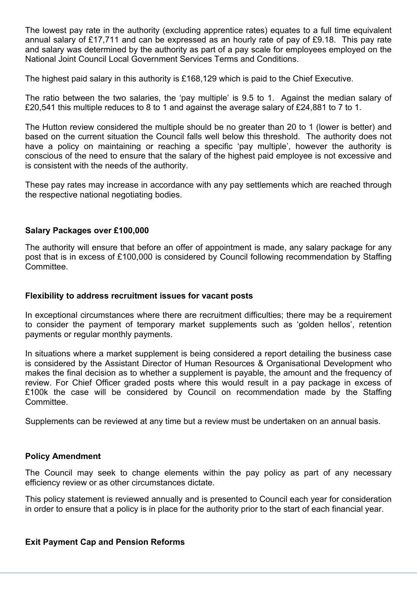The lowest pay rate in the authority (excluding apprentice rates) equates to a full time equivalent annual salary of £17,711 and can be expressed as an hourly rate of pay of £9.18. This pay rate and salary was determined by the authority as part of a pay scale for employees employed on the National Joint Council Local Government Services Terms and Conditions.

The highest paid salary in this authority is £168,129 which is paid to the Chief Executive.

The ratio between the two salaries, the 'pay multiple' is 9.5 to 1. Against the median salary of £20,541 this multiple reduces to 8 to 1 and against the average salary of £24,881 to 7 to 1.

The Hutton review considered the multiple should be no greater than 20 to 1 (lower is better) and based on the current situation the Council falls well below this threshold. The authority does not have a policy on maintaining or reaching a specific 'pay multiple', however the authority is conscious of the need to ensure that the salary of the highest paid employee is not excessive and is consistent with the needs of the authority.

These pay rates may increase in accordance with any pay settlements which are reached through the respective national negotiating bodies.

#### **Salary Packages over £100,000**

The authority will ensure that before an offer of appointment is made, any salary package for any post that is in excess of £100,000 is considered by Council following recommendation by Staffing Committee.

#### **Flexibility to address recruitment issues for vacant posts**

In exceptional circumstances where there are recruitment difficulties; there may be a requirement to consider the payment of temporary market supplements such as 'golden hellos', retention payments or regular monthly payments.

In situations where a market supplement is being considered a report detailing the business case is considered by the Assistant Director of Human Resources & Organisational Development who makes the final decision as to whether a supplement is payable, the amount and the frequency of review. For Chief Officer graded posts where this would result in a pay package in excess of £100k the case will be considered by Council on recommendation made by the Staffing Committee.

Supplements can be reviewed at any time but a review must be undertaken on an annual basis.

#### **Policy Amendment**

The Council may seek to change elements within the pay policy as part of any necessary efficiency review or as other circumstances dictate.

This policy statement is reviewed annually and is presented to Council each year for consideration in order to ensure that a policy is in place for the authority prior to the start of each financial year.

#### **Exit Payment Cap and Pension Reforms**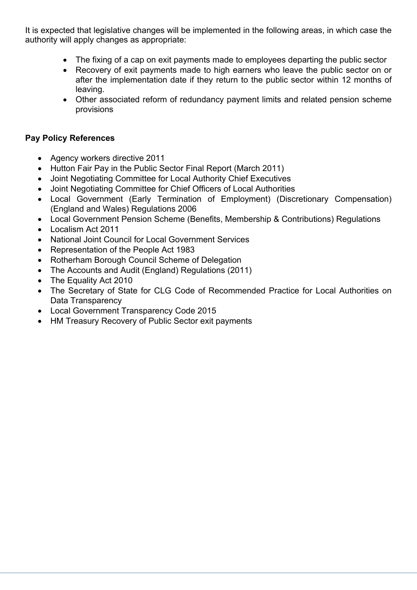It is expected that legislative changes will be implemented in the following areas, in which case the authority will apply changes as appropriate:

- The fixing of a cap on exit payments made to employees departing the public sector
- Recovery of exit payments made to high earners who leave the public sector on or after the implementation date if they return to the public sector within 12 months of leaving.
- Other associated reform of redundancy payment limits and related pension scheme provisions

#### **Pay Policy References**

- Agency workers directive 2011
- Hutton Fair Pay in the Public Sector Final Report (March 2011)
- Joint Negotiating Committee for Local Authority Chief Executives
- Joint Negotiating Committee for Chief Officers of Local Authorities
- Local Government (Early Termination of Employment) (Discretionary Compensation) (England and Wales) Regulations 2006
- Local Government Pension Scheme (Benefits, Membership & Contributions) Regulations
- Localism Act 2011
- National Joint Council for Local Government Services
- Representation of the People Act 1983
- Rotherham Borough Council Scheme of Delegation
- The Accounts and Audit (England) Regulations (2011)
- The Equality Act 2010
- The Secretary of State for CLG Code of Recommended Practice for Local Authorities on Data Transparency
- Local Government Transparency Code 2015
- HM Treasury Recovery of Public Sector exit payments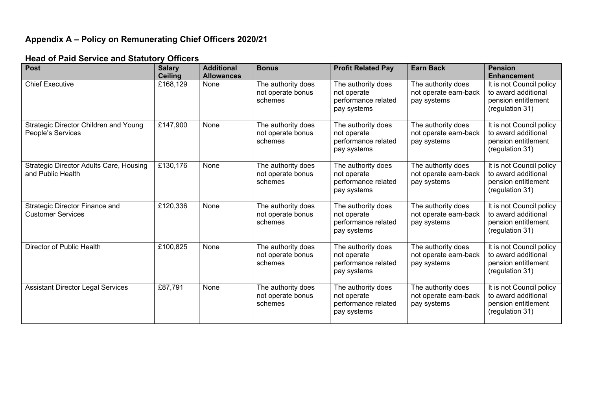#### **Appendix A – Policy on Remunerating Chief Officers 2020/21**

#### **Post Salary Ceiling**<br>£168,129 **Additional Allowances Bonus Profit Related Pay Earn Back Pension Enhancement** Chief Executive **Executive E168.129** None The authority does not operate bonus schemes The authority does not operate performance related pay systems The authority does not operate earn-back pay systems It is not Council policy to award additional pension entitlement (regulation 31) Strategic Director Children and Young People's Services £147,900 None The authority does not operate bonus schemes The authority does not operate performance related pay systems The authority does not operate earn-back pay systems It is not Council policy to award additional pension entitlement (regulation 31) Strategic Director Adults Care, Housing and Public Health £130,176 None The authority does not operate bonus schemes The authority does not operate performance related pay systems The authority does not operate earn-back pay systems It is not Council policy to award additional pension entitlement (regulation 31) Strategic Director Finance and Customer Services  $£120.336$  None The authority does not operate bonus schemes The authority does not operate performance related pay systems The authority does not operate earn-back pay systems It is not Council policy to award additional pension entitlement (regulation 31) Director of Public Health **E100,825** None The authority does not operate bonus schemes The authority does not operate performance related pay systems The authority does not operate earn-back pay systems It is not Council policy to award additional pension entitlement (regulation 31) Assistant Director Legal Services **E87,791** None The authority does not operate bonus schemes The authority does not operate performance related pay systems The authority does not operate earn-back pay systems It is not Council policy to award additional pension entitlement (regulation 31)

#### **Head of Paid Service and Statutory Officers**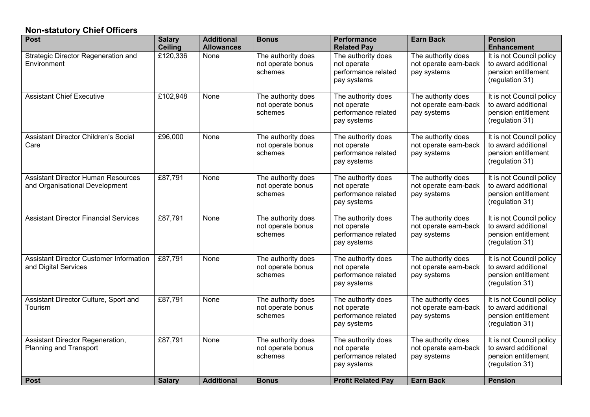### **Non-statutory Chief Officers**

| <b>Post</b>                                                                 | <b>Salary</b><br><b>Ceiling</b> | <b>Additional</b><br><b>Allowances</b> | <b>Bonus</b>                                       | <b>Performance</b><br><b>Related Pay</b>                                | <b>Earn Back</b>                                           | <b>Pension</b><br><b>Enhancement</b>                                                      |
|-----------------------------------------------------------------------------|---------------------------------|----------------------------------------|----------------------------------------------------|-------------------------------------------------------------------------|------------------------------------------------------------|-------------------------------------------------------------------------------------------|
| Strategic Director Regeneration and<br>Environment                          | £120,336                        | None                                   | The authority does<br>not operate bonus<br>schemes | The authority does<br>not operate<br>performance related<br>pay systems | The authority does<br>not operate earn-back<br>pay systems | It is not Council policy<br>to award additional<br>pension entitlement<br>(regulation 31) |
| <b>Assistant Chief Executive</b>                                            | £102,948                        | None                                   | The authority does<br>not operate bonus<br>schemes | The authority does<br>not operate<br>performance related<br>pay systems | The authority does<br>not operate earn-back<br>pay systems | It is not Council policy<br>to award additional<br>pension entitlement<br>(regulation 31) |
| Assistant Director Children's Social<br>Care                                | £96,000                         | None                                   | The authority does<br>not operate bonus<br>schemes | The authority does<br>not operate<br>performance related<br>pay systems | The authority does<br>not operate earn-back<br>pay systems | It is not Council policy<br>to award additional<br>pension entitlement<br>(regulation 31) |
| <b>Assistant Director Human Resources</b><br>and Organisational Development | £87,791                         | None                                   | The authority does<br>not operate bonus<br>schemes | The authority does<br>not operate<br>performance related<br>pay systems | The authority does<br>not operate earn-back<br>pay systems | It is not Council policy<br>to award additional<br>pension entitlement<br>(regulation 31) |
| <b>Assistant Director Financial Services</b>                                | £87,791                         | None                                   | The authority does<br>not operate bonus<br>schemes | The authority does<br>not operate<br>performance related<br>pay systems | The authority does<br>not operate earn-back<br>pay systems | It is not Council policy<br>to award additional<br>pension entitlement<br>(regulation 31) |
| <b>Assistant Director Customer Information</b><br>and Digital Services      | £87,791                         | None                                   | The authority does<br>not operate bonus<br>schemes | The authority does<br>not operate<br>performance related<br>pay systems | The authority does<br>not operate earn-back<br>pay systems | It is not Council policy<br>to award additional<br>pension entitlement<br>(regulation 31) |
| Assistant Director Culture, Sport and<br>Tourism                            | £87,791                         | None                                   | The authority does<br>not operate bonus<br>schemes | The authority does<br>not operate<br>performance related<br>pay systems | The authority does<br>not operate earn-back<br>pay systems | It is not Council policy<br>to award additional<br>pension entitlement<br>(regulation 31) |
| Assistant Director Regeneration,<br>Planning and Transport                  | £87,791                         | None                                   | The authority does<br>not operate bonus<br>schemes | The authority does<br>not operate<br>performance related<br>pay systems | The authority does<br>not operate earn-back<br>pay systems | It is not Council policy<br>to award additional<br>pension entitlement<br>(regulation 31) |
| <b>Post</b>                                                                 | <b>Salary</b>                   | <b>Additional</b>                      | <b>Bonus</b>                                       | <b>Profit Related Pay</b>                                               | <b>Earn Back</b>                                           | <b>Pension</b>                                                                            |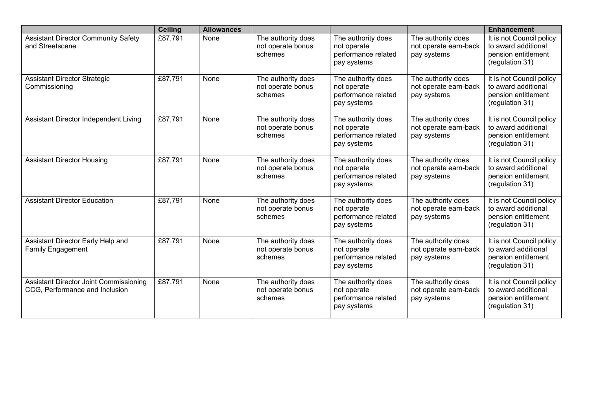|                                                                          | <b>Ceiling</b> | <b>Allowances</b> |                                                    |                                                                         |                                                            | <b>Enhancement</b>                                                                        |
|--------------------------------------------------------------------------|----------------|-------------------|----------------------------------------------------|-------------------------------------------------------------------------|------------------------------------------------------------|-------------------------------------------------------------------------------------------|
| <b>Assistant Director Community Safety</b><br>and Streetscene            | £87,791        | None              | The authority does<br>not operate bonus<br>schemes | The authority does<br>not operate<br>performance related<br>pay systems | The authority does<br>not operate earn-back<br>pay systems | It is not Council policy<br>to award additional<br>pension entitlement<br>(regulation 31) |
| <b>Assistant Director Strategic</b><br>Commissioning                     | £87,791        | None              | The authority does<br>not operate bonus<br>schemes | The authority does<br>not operate<br>performance related<br>pay systems | The authority does<br>not operate earn-back<br>pay systems | It is not Council policy<br>to award additional<br>pension entitlement<br>(regulation 31) |
| Assistant Director Independent Living                                    | £87,791        | <b>None</b>       | The authority does<br>not operate bonus<br>schemes | The authority does<br>not operate<br>performance related<br>pay systems | The authority does<br>not operate earn-back<br>pay systems | It is not Council policy<br>to award additional<br>pension entitlement<br>(regulation 31) |
| <b>Assistant Director Housing</b>                                        | £87,791        | None              | The authority does<br>not operate bonus<br>schemes | The authority does<br>not operate<br>performance related<br>pay systems | The authority does<br>not operate earn-back<br>pay systems | It is not Council policy<br>to award additional<br>pension entitlement<br>(regulation 31) |
| <b>Assistant Director Education</b>                                      | £87,791        | None              | The authority does<br>not operate bonus<br>schemes | The authority does<br>not operate<br>performance related<br>pay systems | The authority does<br>not operate earn-back<br>pay systems | It is not Council policy<br>to award additional<br>pension entitlement<br>(regulation 31) |
| Assistant Director Early Help and<br><b>Family Engagement</b>            | £87,791        | None              | The authority does<br>not operate bonus<br>schemes | The authority does<br>not operate<br>performance related<br>pay systems | The authority does<br>not operate earn-back<br>pay systems | It is not Council policy<br>to award additional<br>pension entitlement<br>(regulation 31) |
| Assistant Director Joint Commissioning<br>CCG, Performance and Inclusion | £87,791        | None              | The authority does<br>not operate bonus<br>schemes | The authority does<br>not operate<br>performance related<br>pay systems | The authority does<br>not operate earn-back<br>pay systems | It is not Council policy<br>to award additional<br>pension entitlement<br>(regulation 31) |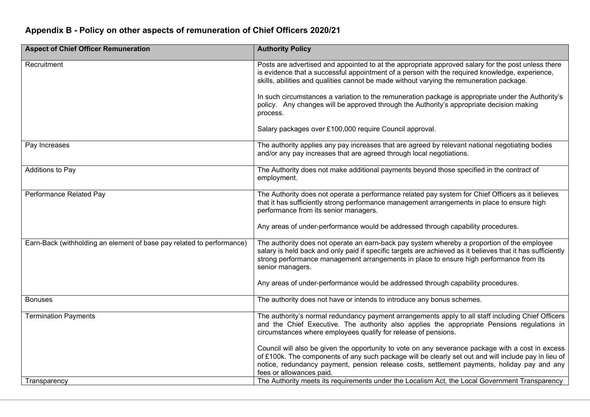## **Appendix B - Policy on other aspects of remuneration of Chief Officers 2020/21**

| <b>Aspect of Chief Officer Remuneration</b>                           | <b>Authority Policy</b>                                                                                                                                                                                                                                                                                                              |
|-----------------------------------------------------------------------|--------------------------------------------------------------------------------------------------------------------------------------------------------------------------------------------------------------------------------------------------------------------------------------------------------------------------------------|
| Recruitment                                                           | Posts are advertised and appointed to at the appropriate approved salary for the post unless there<br>is evidence that a successful appointment of a person with the required knowledge, experience,<br>skills, abilities and qualities cannot be made without varying the remuneration package.                                     |
|                                                                       | In such circumstances a variation to the remuneration package is appropriate under the Authority's<br>policy. Any changes will be approved through the Authority's appropriate decision making<br>process.                                                                                                                           |
|                                                                       | Salary packages over £100,000 require Council approval.                                                                                                                                                                                                                                                                              |
| Pay Increases                                                         | The authority applies any pay increases that are agreed by relevant national negotiating bodies<br>and/or any pay increases that are agreed through local negotiations.                                                                                                                                                              |
| Additions to Pay                                                      | The Authority does not make additional payments beyond those specified in the contract of<br>employment.                                                                                                                                                                                                                             |
| Performance Related Pay                                               | The Authority does not operate a performance related pay system for Chief Officers as it believes<br>that it has sufficiently strong performance management arrangements in place to ensure high<br>performance from its senior managers.                                                                                            |
|                                                                       | Any areas of under-performance would be addressed through capability procedures.                                                                                                                                                                                                                                                     |
| Earn-Back (withholding an element of base pay related to performance) | The authority does not operate an earn-back pay system whereby a proportion of the employee<br>salary is held back and only paid if specific targets are achieved as it believes that it has sufficiently<br>strong performance management arrangements in place to ensure high performance from its<br>senior managers.             |
|                                                                       | Any areas of under-performance would be addressed through capability procedures.                                                                                                                                                                                                                                                     |
| <b>Bonuses</b>                                                        | The authority does not have or intends to introduce any bonus schemes.                                                                                                                                                                                                                                                               |
| <b>Termination Payments</b>                                           | The authority's normal redundancy payment arrangements apply to all staff including Chief Officers<br>and the Chief Executive. The authority also applies the appropriate Pensions regulations in<br>circumstances where employees qualify for release of pensions.                                                                  |
|                                                                       | Council will also be given the opportunity to vote on any severance package with a cost in excess<br>of £100k. The components of any such package will be clearly set out and will include pay in lieu of<br>notice, redundancy payment, pension release costs, settlement payments, holiday pay and any<br>fees or allowances paid. |
| Transparency                                                          | The Authority meets its requirements under the Localism Act, the Local Government Transparency                                                                                                                                                                                                                                       |